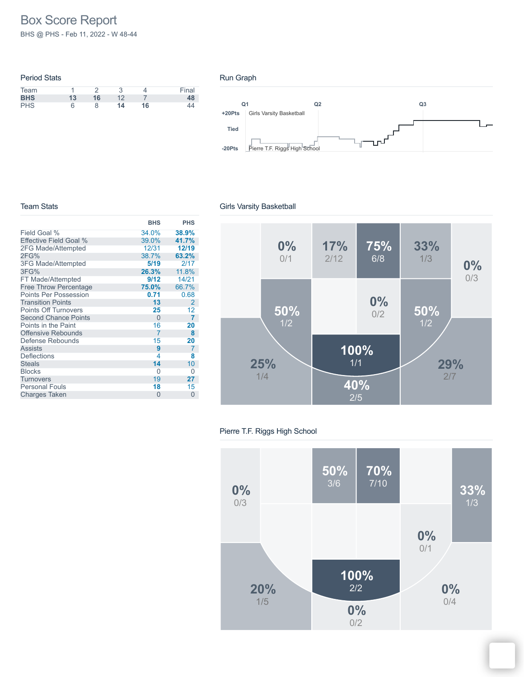# Box Score Report

BHS @ PHS - Feb 11, 2022 - W 48-44

## Period Stats Team 1 2 3 4 Final **BHS 13 16** 12 7 **48** PHS 6 8 **14 16** 44

#### Run Graph



#### Team Stats

#### Girls Varsity Basketball

| <b>BHS</b> | <b>PHS</b>     |
|------------|----------------|
| 34.0%      | 38.9%          |
| 39.0%      | 41.7%          |
| 12/31      | 12/19          |
| 38.7%      | 63.2%          |
| 5/19       | 2/17           |
| 26.3%      | 11.8%          |
| 9/12       | 14/21          |
| 75.0%      | 66.7%          |
| 0.71       | 0.68           |
| 13         | $\overline{2}$ |
| 25         | 12             |
| $\Omega$   | $\overline{7}$ |
| 16         | 20             |
| 7          | 8              |
| 15         | 20             |
| 9          | 7              |
| 4          | 8              |
| 14         | 10             |
| 0          | 0              |
| 19         | 27             |
| 18         | 15             |
| $\Omega$   | $\Omega$       |
|            |                |



#### Pierre T.F. Riggs High School